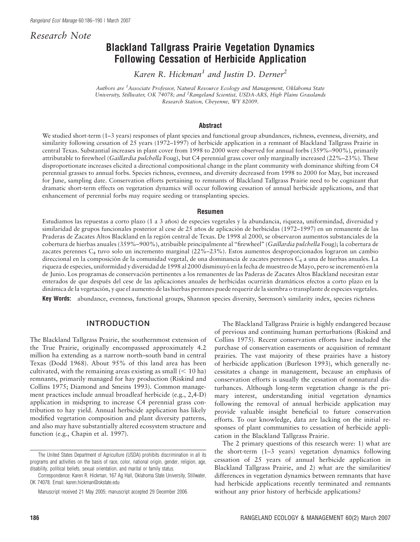# Research Note

# Blackland Tallgrass Prairie Vegetation Dynamics Following Cessation of Herbicide Application

Karen R. Hickman<sup>1</sup> and Justin D. Derner<sup>2</sup>

Authors are <sup>1</sup>Associate Professor, Natural Resource Ecology and Management, Oklahoma State University, Stillwater, OK 74078; and <sup>2</sup>Rangeland Scientist, USDA-ARS, High Plains Grasslands Research Station, Cheyenne, WY 82009.

#### Abstract

We studied short-term (1–3 years) responses of plant species and functional group abundances, richness, evenness, diversity, and similarity following cessation of 25 years (1972–1997) of herbicide application in a remnant of Blackland Tallgrass Prairie in central Texas. Substantial increases in plant cover from 1998 to 2000 were observed for annual forbs (359%–900%), primarily attributable to firewheel (Gaillardia pulchella Foug), but C4 perennial grass cover only marginally increased (22%–23%). These disproportionate increases elicited a directional compositional change in the plant community with dominance shifting from C4 perennial grasses to annual forbs. Species richness, evenness, and diversity decreased from 1998 to 2000 for May, but increased for June, sampling date. Conservation efforts pertaining to remnants of Blackland Tallgrass Prairie need to be cognizant that dramatic short-term effects on vegetation dynamics will occur following cessation of annual herbicide applications, and that enhancement of perennial forbs may require seeding or transplanting species.

#### Resumen

Estudiamos las repuestas a corto plazo (1 a 3 años) de especies vegetales y la abundancia, riqueza, uniformindad, diversidad y similaridad de grupos funcionales posterior al cese de 25 años de aplicación de herbicidas (1972–1997) en un remanente de las Praderas de Zacates Altos Blackland en la región central de Texas. De 1998 al 2000, se observaron aumentos substanciales de la cobertura de hierbas anuales (359%–900%), atribuible principalmente al ''firewheel'' (Gaillardia pulchella Foug); la cobertura de zacates perennes C4 tuvo solo un incremento marginal (22%–23%). Estos aumentos desproporcionados lograron un cambio direccional en la composición de la comunidad vegetal, de una dominancia de zacates perennes C<sub>4</sub> a una de hierbas anuales. La riqueza de especies, uniformidad y diversidad de 1998 al 2000 disminuyó en la fecha de muestreo de Mayo, pero se incrementó en la de Junio. Los programas de conservación pertinentes a los remanentes de las Paderas de Zacates Altos Blackland necesitan estar enterados de que después del cese de las aplicaciones anuales de herbicidas ocurrirán dramáticos efectos a corto plazo en la dinámica de la vegetación, y que el aumento de las hierbas perennes puede requerir de la siembra o transplante de especies vegetales.

Key Words: abundance, evenness, functional groups, Shannon species diversity, Sørenson's similarity index, species richness

# INTRODUCTION

The Blackland Tallgrass Prairie, the southernmost extension of the True Prairie, originally encompassed approximately 4.2 million ha extending as a narrow north–south band in central Texas (Dodd 1968). About 95% of this land area has been cultivated, with the remaining areas existing as small  $(< 10$  ha) remnants, primarily managed for hay production (Riskind and Collins 1975; Diamond and Smeins 1993). Common management practices include annual broadleaf herbicide (e.g., 2,4-D) application in midspring to increase C4 perennial grass contribution to hay yield. Annual herbicide application has likely modified vegetation composition and plant diversity patterns, and also may have substantially altered ecosystem structure and function (e.g., Chapin et al. 1997).

The Blackland Tallgrass Prairie is highly endangered because of previous and continuing human perturbations (Riskind and Collins 1975). Recent conservation efforts have included the purchase of conservation easements or acquisition of remnant prairies. The vast majority of these prairies have a history of herbicide application (Burleson 1993), which generally necessitates a change in management, because an emphasis of conservation efforts is usually the cessation of nonnatural disturbances. Although long-term vegetation change is the primary interest, understanding initial vegetation dynamics following the removal of annual herbicide application may provide valuable insight beneficial to future conservation efforts. To our knowledge, data are lacking on the initial responses of plant communities to cessation of herbicide application in the Blackland Tallgrass Prairie.

The 2 primary questions of this research were: 1) what are the short-term (1–3 years) vegetation dynamics following cessation of 25 years of annual herbicide application in Blackland Tallgrass Prairie, and 2) what are the similarities/ differences in vegetation dynamics between remnants that have had herbicide applications recently terminated and remnants without any prior history of herbicide applications?

The United States Department of Agriculture (USDA) prohibits discrimination in all its programs and activities on the basis of race, color, national origin, gender, religion, age, disability, political beliefs, sexual orientation, and marital or family status.

Correspondence: Karen R. Hickman, 167 Ag Hall, Oklahoma State University, Stillwater, OK 74078. Email: karen.hickman@okstate.edu

Manuscript received 21 May 2005; manuscript accepted 29 December 2006.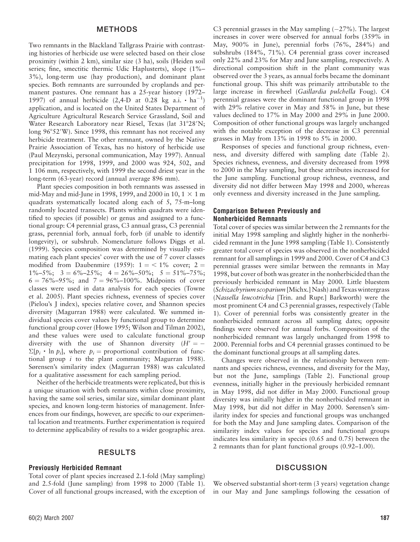### METHODS

Two remnants in the Blackland Tallgrass Prairie with contrasting histories of herbicide use were selected based on their close proximity (within 2 km), similar size (3 ha), soils (Heiden soil series; fine, smectitic thermic Udic Haplusterts), slope (1%– 3%), long-term use (hay production), and dominant plant species. Both remnants are surrounded by croplands and permanent pastures. One remnant has a 25-year history (1972– 1997) of annual herbicide  $(2,4-D$  at 0.28 kg a.i.  $\cdot$  ha<sup>-1</sup>) application, and is located on the United States Department of Agriculture Agricultural Research Service Grassland, Soil and Water Research Laboratory near Riesel, Texas (lat 31°28'N; long 96°52′W). Since 1998, this remnant has not received any herbicide treatment. The other remnant, owned by the Native Prairie Association of Texas, has no history of herbicide use (Paul Mezynski, personal communication, May 1997). Annual precipitation for 1998, 1999, and 2000 was 924, 502, and 1 106 mm, respectively, with 1999 the second driest year in the long-term (63-year) record (annual average 896 mm).

Plant species composition in both remnants was assessed in mid-May and mid-June in 1998, 1999, and 2000 in 10,  $1 \times 1$  m quadrats systematically located along each of 5, 75-m–long randomly located transects. Plants within quadrats were identified to species (if possible) or genus and assigned to a functional group: C4 perennial grass, C3 annual grass, C3 perennial grass, perennial forb, annual forb, forb (if unable to identify longevity), or subshrub. Nomenclature follows Diggs et al. (1999). Species composition was determined by visually estimating each plant species' cover with the use of 7 cover classes modified from Daubenmire (1959):  $1 = \langle 1\%$  cover; 2 =  $1\% - 5\%; \quad 3 = 6\% - 25\%; \quad 4 = 26\% - 50\%; \quad 5 = 51\% - 75\%;$  $6 = 76\% - 95\%$ ; and  $7 = 96\% - 100\%$ . Midpoints of cover classes were used in data analysis for each species (Towne et al. 2005). Plant species richness, evenness of species cover (Pielou's J index), species relative cover, and Shannon species diversity (Magurran 1988) were calculated. We summed individual species cover values by functional group to determine functional group cover (Howe 1995; Wilson and Tilman 2002), and these values were used to calculate functional group diversity with the use of Shannon diversity  $(H') = \Sigma[p_i \cdot \ln p_i]$ , where  $p_i$  = proportional contribution of functional group *i* to the plant community; Magurran 1988). Sørensen's similarity index (Magurran 1988) was calculated for a qualitative assessment for each sampling period.

Neither of the herbicide treatments were replicated, but this is a unique situation with both remnants within close proximity, having the same soil series, similar size, similar dominant plant species, and known long-term histories of management. Inferences from our findings, however, are specific to our experimental location and treatments. Further experimentation is required to determine applicability of results to a wider geographic area.

# RESULTS

#### Previously Herbicided Remnant

Total cover of plant species increased 2.1-fold (May sampling) and 2.5-fold (June sampling) from 1998 to 2000 (Table 1). Cover of all functional groups increased, with the exception of

C3 perennial grasses in the May sampling  $(-27%)$ . The largest increases in cover were observed for annual forbs (359% in May, 900% in June), perennial forbs (76%, 284%) and subshrubs (184%, 71%). C4 perennial grass cover increased only 22% and 23% for May and June sampling, respectively. A directional composition shift in the plant community was observed over the 3 years, as annual forbs became the dominant functional group. This shift was primarily attributable to the large increase in firewheel (Gaillardia pulchella Foug). C4 perennial grasses were the dominant functional group in 1998 with 29% relative cover in May and 58% in June, but these values declined to 17% in May 2000 and 29% in June 2000. Composition of other functional groups was largely unchanged with the notable exception of the decrease in C3 perennial grasses in May from 13% in 1998 to 5% in 2000.

Responses of species and functional group richness, evenness, and diversity differed with sampling date (Table 2). Species richness, evenness, and diversity decreased from 1998 to 2000 in the May sampling, but these attributes increased for the June sampling. Functional group richness, evenness, and diversity did not differ between May 1998 and 2000, whereas only evenness and diversity increased in the June sampling.

#### Comparison Between Previously and Nonherbicided Remnants

Total cover of species was similar between the 2 remnants for the initial May 1998 sampling and slightly higher in the nonherbicided remnant in the June 1998 sampling (Table 1). Consistently greater total cover of species was observed in the nonherbicided remnant for all samplings in 1999 and 2000. Cover of C4 and C3 perennial grasses were similar between the remnants in May 1998, but cover of both was greater in the nonherbicided than the previously herbicided remnant in May 2000. Little bluestem (Schizachyrium scoparium [Michx.] Nash) and Texas wintergrass (Nassella leucotrichia [Trin. and Rupr.] Barkworth) were the most prominent C4 and C3 perennial grasses, respectively (Table 1). Cover of perennial forbs was consistently greater in the nonherbicided remnant across all sampling dates; opposite findings were observed for annual forbs. Composition of the nonherbicided remnant was largely unchanged from 1998 to 2000. Perennial forbs and C4 perennial grasses continued to be the dominant functional groups at all sampling dates.

Changes were observed in the relationship between remnants and species richness, evenness, and diversity for the May, but not the June, samplings (Table 2). Functional group evenness, initially higher in the previously herbicided remnant in May 1998, did not differ in May 2000. Functional group diversity was initially higher in the nonherbicided remnant in May 1998, but did not differ in May 2000. Sørensen's similarity index for species and functional groups was unchanged for both the May and June sampling dates. Comparison of the similarity index values for species and functional groups indicates less similarity in species (0.65 and 0.75) between the 2 remnants than for plant functional groups (0.92–1.00).

## **DISCUSSION**

We observed substantial short-term (3 years) vegetation change in our May and June samplings following the cessation of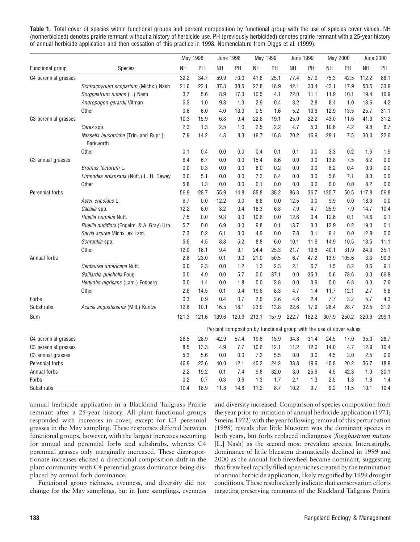Table 1. Total cover of species within functional groups and percent composition by functional group with the use of species cover values. NH (nonherbicided) denotes prairie remnant without a history of herbicide use, PH (previously herbicided) denotes prairie remnant with a 25-year history of annual herbicide application and then cessation of this practice in 1998. Nomenclature from Diggs et al. (1999).

|                      |                                                     | May 1998  |         | <b>June 1998</b> |       | May 1999                                                             |       | June 1999 |       | May 2000 |       | <b>June 2000</b> |       |
|----------------------|-----------------------------------------------------|-----------|---------|------------------|-------|----------------------------------------------------------------------|-------|-----------|-------|----------|-------|------------------|-------|
| Functional group     | <b>Species</b>                                      | <b>NH</b> | PH      | NΗ               | PH    | NΗ                                                                   | PH    | <b>NH</b> | PH    | NΗ       | PH    | <b>NH</b>        | PH    |
| C4 perennial grasses |                                                     | 32.2      | 34.7    | 59.9             | 70.0  | 41.8                                                                 | 25.1  | 77.4      | 57.9  | 75.3     | 42.5  | 112.2            | 86.1  |
|                      | Schizachyrium scoparium (Michx.) Nash               | 21.6      | 22.1    | 37.3             | 38.5  | 27.8                                                                 | 18.9  | 42.1      | 33.4  | 42.1     | 17.9  | 53.5             | 33.9  |
|                      | Sorghastrum nutans (L.) Nash                        | 3.7       | 5.6     | 8.9              | 17.3  | 10.5                                                                 | 4.1   | 22.0      | 11.1  | 11.9     | 10.1  | 19.4             | 16.9  |
|                      | Andropogon gerardii Vitman                          | 6.3       | 1.0     | 9.8              | 1.3   | 2.9                                                                  | 0.4   | 8.2       | 2.8   | 8.4      | 1.0   | 13.6             | 4.2   |
|                      | Other                                               | 0.6       | 6.0     | 4.0              | 13.0  | 0.5                                                                  | 1.6   | 5.2       | 10.6  | 12.9     | 13.5  | 25.7             | 31.1  |
| C3 perennial grasses |                                                     | 10.3      | 15.9    | 6.8              | 9.4   | 22.6                                                                 | 19.1  | 25.0      | 22.2  | 43.0     | 11.6  | 41.3             | 31.2  |
|                      | Carex spp.                                          | 2.3       | 1.3     | 2.5              | 1.0   | 2.5                                                                  | 2.2   | 4.7       | 5.3   | 10.6     | 4.2   | 9.8              | 6.7   |
|                      | Nassella leucotricha [Trin. and Rupr.]<br>Barkworth | 7.9       | 14.2    | 4.3              | 8.3   | 19.7                                                                 | 16.8  | 20.2      | 16.9  | 29.1     | 7.5   | 30.0             | 22.6  |
|                      | <b>Other</b>                                        | 0.1       | 0.4     | 0.0              | 0.0   | 0.4                                                                  | 0.1   | 0.1       | 0.0   | 3.3      | 0.2   | 1.6              | 1.9   |
| C3 annual grasses    |                                                     | 6.4       | 6.7     | 0.0              | 0.0   | 15.4                                                                 | 8.6   | 0.0       | 0.0   | 13.8     | 7.5   | 8.2              | 0.0   |
|                      | Bromus tectorum L.                                  | 0.0       | 0.3     | 0.0              | 0.0   | 8.0                                                                  | 0.2   | 0.0       | 0.0   | 8.2      | 0.4   | 0.0              | 0.0   |
|                      | Limnodea arkansana (Nutt.) L. H. Dewey              | 0.6       | 5.1     | 0.0              | 0.0   | 7.3                                                                  | 8.4   | 0.0       | 0.0   | 5.6      | 7.1   | 0.0              | 0.0   |
|                      | <b>Other</b>                                        | 5.8       | 1.3     | 0.0              | 0.0   | 0.1                                                                  | 0.0   | 0.0       | 0.0   | 0.0      | 0.0   | 8.2              | 0.0   |
| Perennial forbs      |                                                     | 56.9      | 28.7    | 55.9             | 14.8  | 85.8                                                                 | 38.2  | 86.3      | 36.7  | 125.7    | 50.5  | 117.8            | 56.8  |
|                      | Aster ericoides L.                                  | 6.7       | $0.0\,$ | 12.2             | 0.0   | 8.8                                                                  | 0.0   | 12.5      | 0.0   | 9.9      | 0.0   | 18.3             | 0.0   |
|                      | Cacalia spp.                                        | 12.2      | 6.0     | 3.2              | 0.4   | 18.3                                                                 | 6.8   | 7.9       | 4.7   | 25.9     | 7.9   | 14.7             | 10.4  |
|                      | Ruellia humilus Nutt.                               | 7.5       | 0.0     | 9.3              | 0.0   | 10.6                                                                 | 0.0   | 12.6      | 0.4   | 12.6     | 0.1   | 14.6             | 0.1   |
|                      | Ruellia nudiflora (Engelm. & A. Gray) Urb.          | 5.7       | 0.0     | 6.9              | 0.0   | 9.8                                                                  | 0.1   | 13.7      | 0.3   | 12.9     | 0.2   | 19.0             | 0.1   |
|                      | Salvia azurea Michx. ex Lam.                        | 7.3       | 0.2     | 6.1              | 0.0   | 4.9                                                                  | 0.0   | 7.8       | 0.1   | 9.4      | 0.0   | 12.9             | 0.0   |
|                      | Schrankia spp.                                      | 5.6       | 4.5     | 8.8              | 5.2   | 8.8                                                                  | 6.0   | 10.1      | 11.6  | 14.9     | 10.5  | 13.5             | 11.1  |
|                      | Other                                               | 12.0      | 18.1    | 9.4              | 9.1   | 24.4                                                                 | 25.3  | 21.7      | 19.6  | 40.1     | 31.9  | 24.9             | 35.1  |
| Annual forbs         |                                                     | 2.6       | 23.0    | 0.1              | 9.0   | 21.0                                                                 | 50.5  | 6.7       | 47.2  | 13.9     | 105.6 | 3.3              | 90.3  |
|                      | Centaurea americana Nutt.                           | 0.0       | 2.3     | 0.0              | 1.2   | 1.3                                                                  | 2.3   | 2.1       | 6.7   | 1.5      | 8.2   | 0.6              | 9.1   |
|                      | Gaillardia pulchella Foug                           | 0.0       | 4.9     | 0.0              | 5.7   | 0.0                                                                  | 37.1  | 0.0       | 35.3  | 0.6      | 78.6  | 0.0              | 66.8  |
|                      | <i>Hedyotis nigricans</i> (Lam.) Fosberg            | 0.0       | 1.4     | 0.0              | 1.8   | 0.0                                                                  | 2.8   | 0.0       | 3.9   | 0.0      | 6.8   | 0.0              | 7.6   |
|                      | Other                                               | 2.6       | 14.5    | 0.1              | 0.4   | 19.6                                                                 | 8.3   | 4.7       | 1.4   | 11.7     | 12.1  | 2.7              | 6.8   |
| Forbs                |                                                     | 0.3       | 0.9     | 0.4              | 0.7   | 2.9                                                                  | 2.6   | 4.6       | 2.4   | 7.7      | 3.2   | 5.7              | 4.3   |
| Subshrubs            | Acacia angustissima (Mill.) Kuntze                  | 12.6      | 10.1    | 16.5             | 18.1  | 23.9                                                                 | 13.8  | 22.6      | 17.9  | 28.4     | 28.7  | 32.5             | 31.2  |
| Sum                  |                                                     | 121.3     | 121.6   | 139.6            | 120.3 | 213.1                                                                | 157.9 | 222.7     | 182.2 | 307.9    | 250.2 | 320.9            | 299.1 |
|                      |                                                     |           |         |                  |       | Percent composition by functional group with the use of cover values |       |           |       |          |       |                  |       |
| C4 perennial grasses |                                                     | 26.5      | 28.9    | 42.9             | 57.4  | 19.6                                                                 | 15.9  | 34.8      | 31.4  | 24.5     | 17.0  | 35.0             | 28.7  |
| C3 perennial grasses |                                                     | 8.5       | 13.3    | 4.9              | 7.7   | 10.6                                                                 | 12.1  | 11.2      | 12.0  | 14.0     | 4.7   | 12.9             | 10.4  |
| C3 annual grasses    |                                                     | 5.3       | 5.6     | 0.0              | 0.0   | 7.2                                                                  | 5.5   | 0.0       | 0.0   | 4.5      | 3.0   | 2.5              | 0.0   |
| Perennial forbs      |                                                     | 46.9      | 23.6    | 40.0             | 12.1  | 40.2                                                                 | 24.2  | 38.8      | 19.9  | 40.8     | 20.2  | 36.7             | 18.9  |
| Annual forbs         |                                                     | 2.2       | 19.2    | 0.1              | 7.4   | 9.8                                                                  | 32.0  | 3.0       | 25.6  | 4.5      | 42.3  | 1.0              | 30.1  |
| Forbs                |                                                     | 0.2       | 0.7     | 0.3              | 0.6   | 1.3                                                                  | 1.7   | 2.1       | 1.3   | 2.5      | 1.3   | 1.8              | 1.4   |
| Subshrubs            |                                                     | 10.4      | 18.9    | 11.8             | 14.8  | 11.2                                                                 | 8.7   | 10.2      | 9.7   | 9.2      | 11.5  | 10.1             | 10.4  |

annual herbicide application in a Blackland Tallgrass Prairie remnant after a 25-year history. All plant functional groups responded with increases in cover, except for C3 perennial grasses in the May sampling. These responses differed between functional groups, however, with the largest increases occurring for annual and perennial forbs and subshrubs, whereas C4 perennial grasses only marginally increased. These disproportionate increases elicited a directional composition shift in the plant community with C4 perennial grass dominance being displaced by annual forb dominance.

Functional group richness, evenness, and diversity did not change for the May samplings, but in June samplings, evenness

and diversity increased. Comparison of species composition from the year prior to initiation of annual herbicide application (1971; Smeins 1972) with the year following removal of this perturbation (1998) reveals that little bluestem was the dominant species in both years, but forbs replaced indiangrass (Sorghastrum nutans [L.] Nash) as the second most prevalent species. Interestingly, dominance of little bluestem dramatically declined in 1999 and 2000 as the annual forb firewheel became dominant, suggesting that firewheel rapidly filled open niches created by the termination of annual herbicide application, likely magnified by 1999 drought conditions. These results clearly indicate that conservation efforts targeting preserving remnants of the Blackland Tallgrass Prairie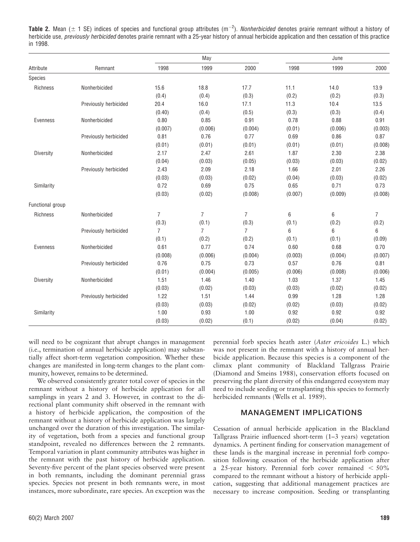**Table 2.** Mean ( $\pm$  1 SE) indices of species and functional group attributes (m<sup>-2</sup>). *Nonherbicided* denotes prairie remnant without a history of herbicide use, previously herbicided denotes prairie remnant with a 25-year history of annual herbicide application and then cessation of this practice in 1998.

|                  | Remnant               |                | May            |                | June    |                                                                                                   |                |  |
|------------------|-----------------------|----------------|----------------|----------------|---------|---------------------------------------------------------------------------------------------------|----------------|--|
| Attribute        |                       | 1998           | 1999           | 2000           | 1998    | 1999                                                                                              | 2000           |  |
| Species          |                       |                |                |                |         |                                                                                                   |                |  |
| Richness         | Nonherbicided         | 15.6           | 18.8           | 17.7           | 11.1    | 14.0                                                                                              | 13.9           |  |
|                  |                       | (0.4)          | (0.4)          | (0.3)          | (0.2)   | (0.2)                                                                                             | (0.3)          |  |
|                  | Previously herbicided | 20.4           | 16.0           | 17.1           | 11.3    | 10.4                                                                                              | 13.5           |  |
|                  |                       | (0.40)         | (0.4)          | (0.5)          | (0.3)   | (0.3)                                                                                             | (0.4)          |  |
| Evenness         | Nonherbicided         | 0.80           | 0.85           | 0.91           | 0.78    | 0.88                                                                                              | 0.91           |  |
|                  |                       | (0.007)        | (0.006)        | (0.004)        | (0.01)  | (0.006)                                                                                           | (0.003)        |  |
|                  | Previously herbicided | 0.81           | 0.76           | 0.77           | 0.69    | 0.86                                                                                              | 0.87           |  |
|                  |                       | (0.01)         | (0.01)         | (0.01)         | (0.01)  | (0.01)                                                                                            | (0.008)        |  |
| Diversity        | Nonherbicided         | 2.17           | 2.47           | 2.61           | 1.87    | 2.30                                                                                              | 2.38           |  |
|                  |                       | (0.04)         | (0.03)         | (0.05)         | (0.03)  | (0.03)                                                                                            | (0.02)         |  |
|                  | Previously herbicided | 2.43           | 2.09           | 2.18           | 1.66    | 2.01                                                                                              | 2.26           |  |
|                  |                       | (0.03)         | (0.03)         | (0.02)         | (0.04)  | (0.03)                                                                                            | (0.02)         |  |
| Similarity       |                       | 0.72           | 0.69           | 0.75           | 0.65    | 0.71                                                                                              | 0.73           |  |
|                  |                       | (0.03)         | (0.02)         | (0.008)        | (0.007) | (0.009)                                                                                           | (0.008)        |  |
| Functional group |                       |                |                |                |         |                                                                                                   |                |  |
| Richness         | Nonherbicided         | $\overline{7}$ | $\overline{7}$ | 7              | 6       | $6\phantom{1}6$                                                                                   | $\overline{7}$ |  |
|                  |                       | (0.3)          | (0.1)          | (0.3)          | (0.1)   | (0.2)                                                                                             | (0.2)          |  |
|                  | Previously herbicided | $\overline{7}$ | $\overline{7}$ | $\overline{7}$ | 6       | 6                                                                                                 | $6\phantom{1}$ |  |
|                  |                       | (0.1)          | (0.2)          | (0.2)          | (0.1)   | (0.1)<br>0.68<br>(0.004)<br>0.76<br>(0.008)<br>1.37<br>(0.02)<br>1.28<br>(0.03)<br>0.92<br>(0.04) | (0.09)         |  |
| Evenness         | Nonherbicided         | 0.61           | 0.77           | 0.74           | 0.60    |                                                                                                   | 0.70           |  |
|                  |                       | (0.008)        | (0.006)        | (0.004)        | (0.003) |                                                                                                   | (0.007)        |  |
|                  | Previously herbicided | 0.76           | 0.75           | 0.73           | 0.57    |                                                                                                   | 0.81           |  |
|                  |                       | (0.01)         | (0.004)        | (0.005)        | (0.006) |                                                                                                   | (0.006)        |  |
| Diversity        | Nonherbicided         | 1.51           | 1.46           | 1.40           | 1.03    |                                                                                                   | 1.45           |  |
|                  |                       | (0.03)         | (0.02)         | (0.03)         | (0.03)  |                                                                                                   | (0.02)         |  |
|                  | Previously herbicided | 1.22           | 1.51           | 1.44           | 0.99    |                                                                                                   | 1.28           |  |
|                  |                       | (0.03)         | (0.03)         | (0.02)         | (0.02)  |                                                                                                   | (0.02)         |  |
| Similarity       |                       | 1.00           | 0.93           | 1.00           | 0.92    |                                                                                                   | 0.92           |  |
|                  |                       | (0.03)         | (0.02)         | (0.1)          | (0.02)  |                                                                                                   | (0.02)         |  |

will need to be cognizant that abrupt changes in management (i.e., termination of annual herbicide application) may substantially affect short-term vegetation composition. Whether these changes are manifested in long-term changes to the plant community, however, remains to be determined.

We observed consistently greater total cover of species in the remnant without a history of herbicide application for all samplings in years 2 and 3. However, in contrast to the directional plant community shift observed in the remnant with a history of herbicide application, the composition of the remnant without a history of herbicide application was largely unchanged over the duration of this investigation. The similarity of vegetation, both from a species and functional group standpoint, revealed no differences between the 2 remnants. Temporal variation in plant community attributes was higher in the remnant with the past history of herbicide application. Seventy-five percent of the plant species observed were present in both remnants, including the dominant perennial grass species. Species not present in both remnants were, in most instances, more subordinate, rare species. An exception was the perennial forb species heath aster (Aster ericoides L.) which was not present in the remnant with a history of annual herbicide application. Because this species is a component of the climax plant community of Blackland Tallgrass Prairie (Diamond and Smeins 1988), conservation efforts focused on preserving the plant diversity of this endangered ecosystem may need to include seeding or transplanting this species to formerly herbicided remnants (Wells et al. 1989).

## MANAGEMENT IMPLICATIONS

Cessation of annual herbicide application in the Blackland Tallgrass Prairie influenced short-term (1–3 years) vegetation dynamics. A pertinent finding for conservation management of these lands is the marginal increase in perennial forb composition following cessation of the herbicide application after a 25-year history. Perennial forb cover remained  $<$  50% compared to the remnant without a history of herbicide application, suggesting that additional management practices are necessary to increase composition. Seeding or transplanting